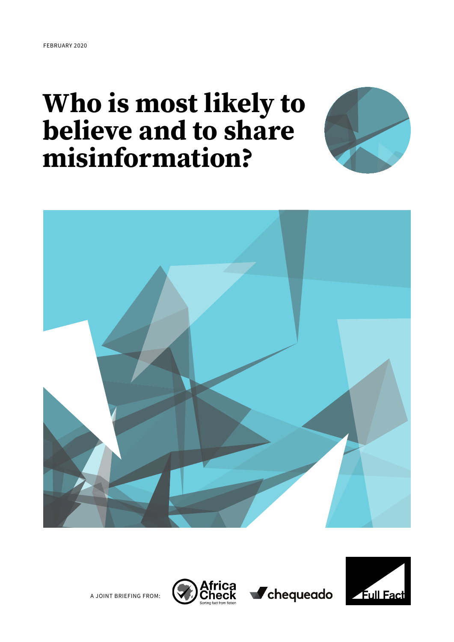# Who is most likely to believe and to share misinformation?





A JOINT BRIEFING FROM:





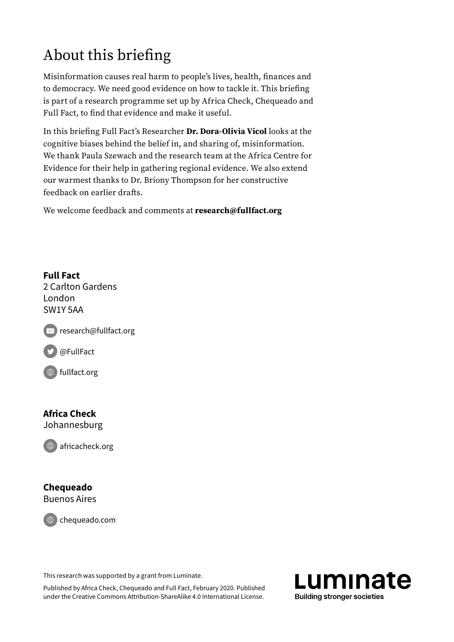## About this briefing

Misinformation causes real harm to people's lives, health, finances and to democracy. We need good evidence on how to tackle it. This briefing is part of a research programme set up by Africa Check, Chequeado and Full Fact, to find that evidence and make it useful.

In this briefing Full Fact's Researcher Dr. Dora-Olivia Vicol looks at the cognitive biases behind the belief in, and sharing of, misinformation. We thank Paula Szewach and the research team at the Africa Centre for Evidence for their help in gathering regional evidence. We also extend our warmest thanks to Dr. Briony Thompson for her constructive feedback on earlier drafts.

We welcome feedback and comments at research@fullfact.org

#### Full Fact

2 Carlton Gardens London SW1Y 5AA

 $\epsilon$  research@fullfact.org

D[@FullFact](https://twitter.com/FullFact)

[fullfact.org](https://fullfact.org/)

### Africa Check

Johannesburg

[africacheck.org](https://africacheck.org)

#### Chequeado Buenos Aires

[chequeado.com](http://chequeado.com)

This research was supported by a grant from Luminate.

Published by Africa Check, Chequeado and Full Fact, February 2020. Published under the Creative Commons Attribution-ShareAlike 4.0 International License.

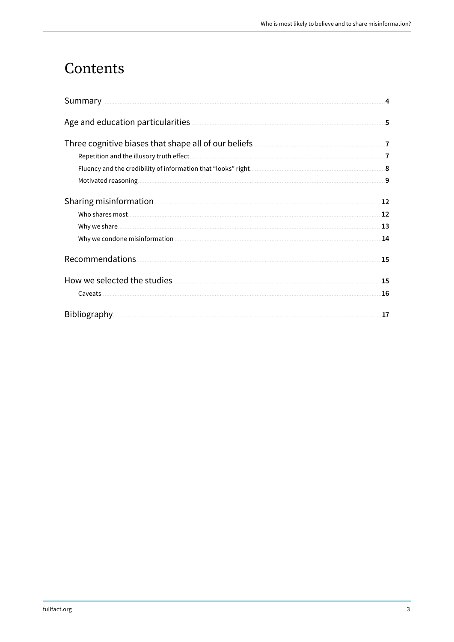### Contents

| Summary <b>Example 2018</b> Summary 2018 19:30 AM 2019 19:30 AM 2019 19:30 AM 30 AM 30 AM 30 AM 30 AM 30 AM 30 AM 30 AM 30 AM 30 AM 30 AM 30 AM 30 AM 30 AM 30 AM 30 AM 30 AM 30 AM 30 AM 30 AM 30 AM 30 AM 30 AM 30 AM 30 AM 30 AM |    |
|-------------------------------------------------------------------------------------------------------------------------------------------------------------------------------------------------------------------------------------|----|
|                                                                                                                                                                                                                                     | 5  |
| Three cognitive biases that shape all of our beliefs <b>CONFING ALIATION</b> T                                                                                                                                                      |    |
| Repetition and the illusory truth effect.                                                                                                                                                                                           |    |
|                                                                                                                                                                                                                                     |    |
|                                                                                                                                                                                                                                     | 9  |
|                                                                                                                                                                                                                                     | 12 |
|                                                                                                                                                                                                                                     | 12 |
|                                                                                                                                                                                                                                     | 13 |
|                                                                                                                                                                                                                                     | 14 |
| Recommendations.                                                                                                                                                                                                                    | 15 |
| How we selected the studies.                                                                                                                                                                                                        | 15 |
|                                                                                                                                                                                                                                     | 16 |
|                                                                                                                                                                                                                                     | 17 |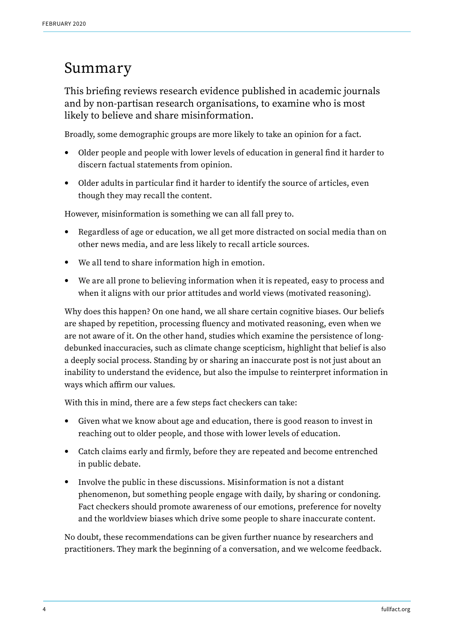### <span id="page-3-0"></span>Summary

This briefing reviews research evidence published in academic journals and by non-partisan research organisations, to examine who is most likely to believe and share misinformation.

Broadly, some demographic groups are more likely to take an opinion for a fact.

- Older people and people with lower levels of education in general find it harder to discern factual statements from opinion.
- Older adults in particular find it harder to identify the source of articles, even though they may recall the content.

However, misinformation is something we can all fall prey to.

- Regardless of age or education, we all get more distracted on social media than on other news media, and are less likely to recall article sources.
- We all tend to share information high in emotion.
- We are all prone to believing information when it is repeated, easy to process and when it aligns with our prior attitudes and world views (motivated reasoning).

Why does this happen? On one hand, we all share certain cognitive biases. Our beliefs are shaped by repetition, processing fluency and motivated reasoning, even when we are not aware of it. On the other hand, studies which examine the persistence of longdebunked inaccuracies, such as climate change scepticism, highlight that belief is also a deeply social process. Standing by or sharing an inaccurate post is not just about an inability to understand the evidence, but also the impulse to reinterpret information in ways which affirm our values.

With this in mind, there are a few steps fact checkers can take:

- Given what we know about age and education, there is good reason to invest in reaching out to older people, and those with lower levels of education.
- Catch claims early and firmly, before they are repeated and become entrenched in public debate.
- Involve the public in these discussions. Misinformation is not a distant phenomenon, but something people engage with daily, by sharing or condoning. Fact checkers should promote awareness of our emotions, preference for novelty and the worldview biases which drive some people to share inaccurate content.

No doubt, these recommendations can be given further nuance by researchers and practitioners. They mark the beginning of a conversation, and we welcome feedback.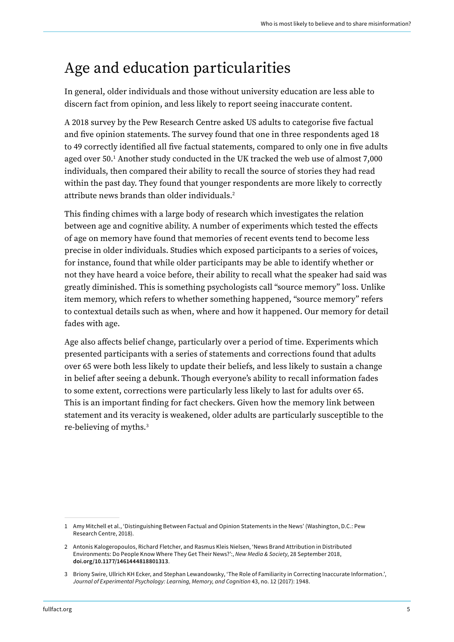### <span id="page-4-0"></span>Age and education particularities

In general, older individuals and those without university education are less able to discern fact from opinion, and less likely to report seeing inaccurate content.

A 2018 survey by the Pew Research Centre asked US adults to categorise five factual and five opinion statements. The survey found that one in three respondents aged 18 to 49 correctly identified all five factual statements, compared to only one in five adults aged over 50.1 Another study conducted in the UK tracked the web use of almost 7,000 individuals, then compared their ability to recall the source of stories they had read within the past day. They found that younger respondents are more likely to correctly attribute news brands than older individuals.2

This finding chimes with a large body of research which investigates the relation between age and cognitive ability. A number of experiments which tested the effects of age on memory have found that memories of recent events tend to become less precise in older individuals. Studies which exposed participants to a series of voices, for instance, found that while older participants may be able to identify whether or not they have heard a voice before, their ability to recall what the speaker had said was greatly diminished. This is something psychologists call "source memory" loss. Unlike item memory, which refers to whether something happened, "source memory" refers to contextual details such as when, where and how it happened. Our memory for detail fades with age.

Age also affects belief change, particularly over a period of time. Experiments which presented participants with a series of statements and corrections found that adults over 65 were both less likely to update their beliefs, and less likely to sustain a change in belief after seeing a debunk. Though everyone's ability to recall information fades to some extent, corrections were particularly less likely to last for adults over 65. This is an important finding for fact checkers. Given how the memory link between statement and its veracity is weakened, older adults are particularly susceptible to the re-believing of myths.3

<sup>1</sup> Amy Mitchell et al., 'Distinguishing Between Factual and Opinion Statements in the News' (Washington, D.C.: Pew Research Centre, 2018).

<sup>2</sup> Antonis Kalogeropoulos, Richard Fletcher, and Rasmus Kleis Nielsen, 'News Brand Attribution in Distributed Environments: Do People Know Where They Get Their News?':, *New Media & Society*, 28 September 2018, [doi.org/10.1177/1461444818801313.](https://doi.org/10.1177/1461444818801313)

<sup>3</sup> Briony Swire, Ullrich KH Ecker, and Stephan Lewandowsky, 'The Role of Familiarity in Correcting Inaccurate Information.', *Journal of Experimental Psychology: Learning, Memory, and Cognition* 43, no. 12 (2017): 1948.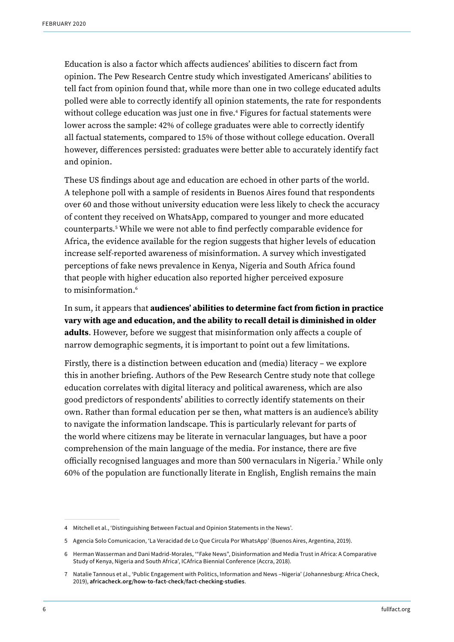Education is also a factor which affects audiences' abilities to discern fact from opinion. The Pew Research Centre study which investigated Americans' abilities to tell fact from opinion found that, while more than one in two college educated adults polled were able to correctly identify all opinion statements, the rate for respondents without college education was just one in five.4 Figures for factual statements were lower across the sample: 42% of college graduates were able to correctly identify all factual statements, compared to 15% of those without college education. Overall however, differences persisted: graduates were better able to accurately identify fact and opinion.

These US findings about age and education are echoed in other parts of the world. A telephone poll with a sample of residents in Buenos Aires found that respondents over 60 and those without university education were less likely to check the accuracy of content they received on WhatsApp, compared to younger and more educated counterparts.5 While we were not able to find perfectly comparable evidence for Africa, the evidence available for the region suggests that higher levels of education increase self-reported awareness of misinformation. A survey which investigated perceptions of fake news prevalence in Kenya, Nigeria and South Africa found that people with higher education also reported higher perceived exposure to misinformation.6

In sum, it appears that audiences' abilities to determine fact from fiction in practice vary with age and education, and the ability to recall detail is diminished in older adults. However, before we suggest that misinformation only affects a couple of narrow demographic segments, it is important to point out a few limitations.

Firstly, there is a distinction between education and (media) literacy – we explore this in another briefing. Authors of the Pew Research Centre study note that college education correlates with digital literacy and political awareness, which are also good predictors of respondents' abilities to correctly identify statements on their own. Rather than formal education per se then, what matters is an audience's ability to navigate the information landscape. This is particularly relevant for parts of the world where citizens may be literate in vernacular languages, but have a poor comprehension of the main language of the media. For instance, there are five officially recognised languages and more than 500 vernaculars in Nigeria.7 While only 60% of the population are functionally literate in English, English remains the main

<sup>4</sup> Mitchell et al., 'Distinguishing Between Factual and Opinion Statements in the News'.

<sup>5</sup> Agencia Solo Comunicacion, 'La Veracidad de Lo Que Circula Por WhatsApp' (Buenos Aires, Argentina, 2019).

<sup>6</sup> Herman Wasserman and Dani Madrid-Morales, '"Fake News", Disinformation and Media Trust in Africa: A Comparative Study of Kenya, Nigeria and South Africa', ICAfrica Biennial Conference (Accra, 2018).

<sup>7</sup> Natalie Tannous et al., 'Public Engagement with Politics, Information and News –Nigeria' (Johannesburg: Africa Check, 2019), [africacheck.org/how-to-fact-check /fact-checking-studies.](https://africacheck.org/how-to-fact-check/fact-checking-studies)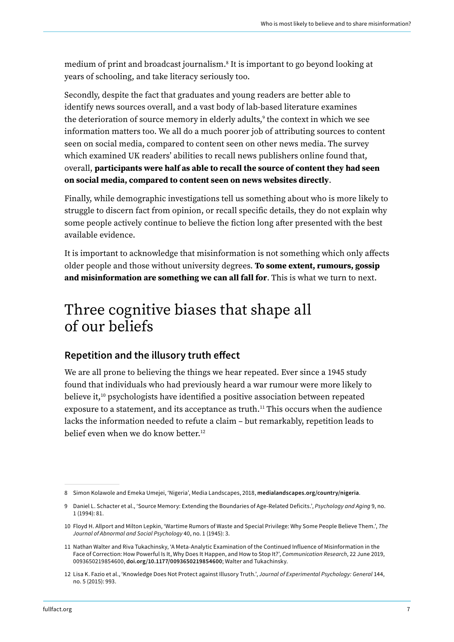<span id="page-6-0"></span>medium of print and broadcast journalism.8 It is important to go beyond looking at years of schooling, and take literacy seriously too.

Secondly, despite the fact that graduates and young readers are better able to identify news sources overall, and a vast body of lab-based literature examines the deterioration of source memory in elderly adults, $^{\circ}$  the context in which we see information matters too. We all do a much poorer job of attributing sources to content seen on social media, compared to content seen on other news media. The survey which examined UK readers' abilities to recall news publishers online found that, overall, participants were half as able to recall the source of content they had seen on social media, compared to content seen on news websites directly.

Finally, while demographic investigations tell us something about who is more likely to struggle to discern fact from opinion, or recall specific details, they do not explain why some people actively continue to believe the fiction long after presented with the best available evidence.

It is important to acknowledge that misinformation is not something which only affects older people and those without university degrees. To some extent, rumours, gossip and misinformation are something we can all fall for. This is what we turn to next.

### Three cognitive biases that shape all of our beliefs

### Repetition and the illusory truth effect

We are all prone to believing the things we hear repeated. Ever since a 1945 study found that individuals who had previously heard a war rumour were more likely to believe it,10 psychologists have identified a positive association between repeated exposure to a statement, and its acceptance as truth.<sup>11</sup> This occurs when the audience lacks the information needed to refute a claim – but remarkably, repetition leads to belief even when we do know better.<sup>12</sup>

<sup>8</sup> Simon Kolawole and Emeka Umejei, 'Nigeria', Media Landscapes, 2018, medialandscapes.org/country/nigeria.

<sup>9</sup> Daniel L. Schacter et al., 'Source Memory: Extending the Boundaries of Age-Related Deficits.', *Psychology and Aging* 9, no. 1 (1994): 81.

<sup>10</sup> Floyd H. Allport and Milton Lepkin, 'Wartime Rumors of Waste and Special Privilege: Why Some People Believe Them.', *The Journal of Abnormal and Social Psychology* 40, no. 1 (1945): 3.

<sup>11</sup> Nathan Walter and Riva Tukachinsky, 'A Meta-Analytic Examination of the Continued Influence of Misinformation in the Face of Correction: How Powerful Is It, Why Does It Happen, and How to Stop It?', *Communication Research*, 22 June 2019, 0093650219854600, [doi.org/10.1177/0093650219854600;](https://doi.org/10.1177/0093650219854600) Walter and Tukachinsky.

<sup>12</sup> Lisa K. Fazio et al., 'Knowledge Does Not Protect against Illusory Truth.', *Journal of Experimental Psychology: General* 144, no. 5 (2015): 993.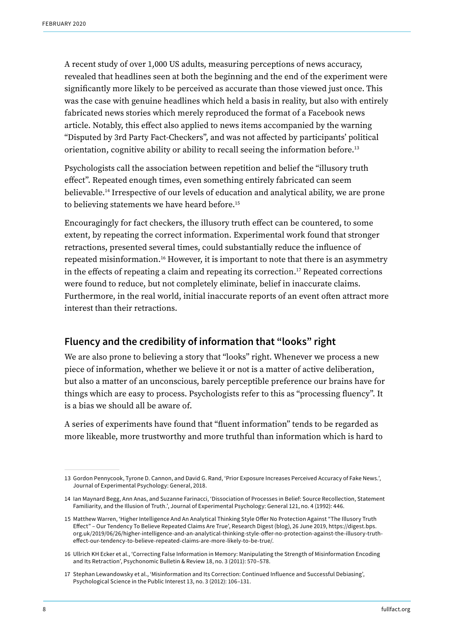<span id="page-7-0"></span>A recent study of over 1,000 US adults, measuring perceptions of news accuracy, revealed that headlines seen at both the beginning and the end of the experiment were significantly more likely to be perceived as accurate than those viewed just once. This was the case with genuine headlines which held a basis in reality, but also with entirely fabricated news stories which merely reproduced the format of a Facebook news article. Notably, this effect also applied to news items accompanied by the warning "Disputed by 3rd Party Fact-Checkers", and was not affected by participants' political orientation, cognitive ability or ability to recall seeing the information before.<sup>13</sup>

Psychologists call the association between repetition and belief the "illusory truth effect". Repeated enough times, even something entirely fabricated can seem believable.14 Irrespective of our levels of education and analytical ability, we are prone to believing statements we have heard before.<sup>15</sup>

Encouragingly for fact checkers, the illusory truth effect can be countered, to some extent, by repeating the correct information. Experimental work found that stronger retractions, presented several times, could substantially reduce the influence of repeated misinformation.16 However, it is important to note that there is an asymmetry in the effects of repeating a claim and repeating its correction.17 Repeated corrections were found to reduce, but not completely eliminate, belief in inaccurate claims. Furthermore, in the real world, initial inaccurate reports of an event often attract more interest than their retractions.

#### Fluency and the credibility of information that "looks" right

We are also prone to believing a story that "looks" right. Whenever we process a new piece of information, whether we believe it or not is a matter of active deliberation, but also a matter of an unconscious, barely perceptible preference our brains have for things which are easy to process. Psychologists refer to this as "processing fluency". It is a bias we should all be aware of.

A series of experiments have found that "fluent information" tends to be regarded as more likeable, more trustworthy and more truthful than information which is hard to

- 16 Ullrich KH Ecker et al., 'Correcting False Information in Memory: Manipulating the Strength of Misinformation Encoding and Its Retraction', Psychonomic Bulletin & Review 18, no. 3 (2011): 570–578.
- 17 Stephan Lewandowsky et al., 'Misinformation and Its Correction: Continued Influence and Successful Debiasing', Psychological Science in the Public Interest 13, no. 3 (2012): 106–131.

<sup>13</sup> Gordon Pennycook, Tyrone D. Cannon, and David G. Rand, 'Prior Exposure Increases Perceived Accuracy of Fake News.', Journal of Experimental Psychology: General, 2018.

<sup>14</sup> Ian Maynard Begg, Ann Anas, and Suzanne Farinacci, 'Dissociation of Processes in Belief: Source Recollection, Statement Familiarity, and the Illusion of Truth.', Journal of Experimental Psychology: General 121, no. 4 (1992): 446.

<sup>15</sup> Matthew Warren, 'Higher Intelligence And An Analytical Thinking Style Offer No Protection Against " The Illusory Truth Effect" – Our Tendency To Believe Repeated Claims Are True', Research Digest (blog), 26 June 2019, https://digest.bps. org.uk/2019/06/26/higher-intelligence-and-an-analytical-thinking-style-offer-no-protection-against-the-illusory-trutheffect-our-tendency-to-believe-repeated-claims-are-more-likely-to-be-true/.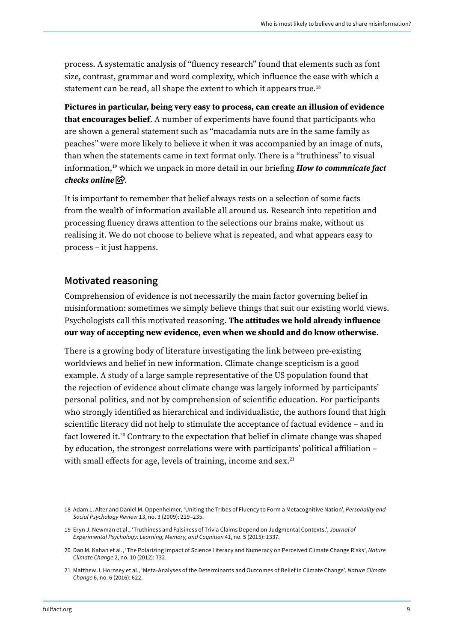<span id="page-8-0"></span>process. A systematic analysis of "fluency research" found that elements such as font size, contrast, grammar and word complexity, which influence the ease with which a statement can be read, all shape the extent to which it appears true.<sup>18</sup>

Pictures in particular, being very easy to process, can create an illusion of evidence that encourages belief. A number of experiments have found that participants who are shown a general statement such as "macadamia nuts are in the same family as peaches" were more likely to believe it when it was accompanied by an image of nuts, than when the statements came in text format only. There is a "truthiness" to visual information,19 which we unpack in more detail in our briefing *[How to commnicate fact](https://fullfact.org/media/uploads/how-communicate-fact-checks-online.pdf)  [checks online](https://fullfact.org/media/uploads/how-communicate-fact-checks-online.pdf)*  $\mathbb{R}$ .

It is important to remember that belief always rests on a selection of some facts from the wealth of information available all around us. Research into repetition and processing fluency draws attention to the selections our brains make, without us realising it. We do not choose to believe what is repeated, and what appears easy to process – it just happens.

#### Motivated reasoning

Comprehension of evidence is not necessarily the main factor governing belief in misinformation: sometimes we simply believe things that suit our existing world views. Psychologists call this motivated reasoning. The attitudes we hold already influence our way of accepting new evidence, even when we should and do know otherwise.

There is a growing body of literature investigating the link between pre-existing worldviews and belief in new information. Climate change scepticism is a good example. A study of a large sample representative of the US population found that the rejection of evidence about climate change was largely informed by participants' personal politics, and not by comprehension of scientific education. For participants who strongly identified as hierarchical and individualistic, the authors found that high scientific literacy did not help to stimulate the acceptance of factual evidence – and in fact lowered it.20 Contrary to the expectation that belief in climate change was shaped by education, the strongest correlations were with participants' political affiliation – with small effects for age, levels of training, income and sex.<sup>21</sup>

<sup>18</sup> Adam L. Alter and Daniel M. Oppenheimer, 'Uniting the Tribes of Fluency to Form a Metacognitive Nation', *Personality and Social Psychology Review* 13, no. 3 (2009): 219–235.

<sup>19</sup> Eryn J. Newman et al., 'Truthiness and Falsiness of Trivia Claims Depend on Judgmental Contexts.', *Journal of Experimental Psychology: Learning, Memory, and Cognition* 41, no. 5 (2015): 1337.

<sup>20</sup> Dan M. Kahan et al., 'The Polarizing Impact of Science Literacy and Numeracy on Perceived Climate Change Risks', *Nature Climate Change* 2, no. 10 (2012): 732.

<sup>21</sup> Matthew J. Hornsey et al., 'Meta-Analyses of the Determinants and Outcomes of Belief in Climate Change', *Nature Climate Change* 6, no. 6 (2016): 622.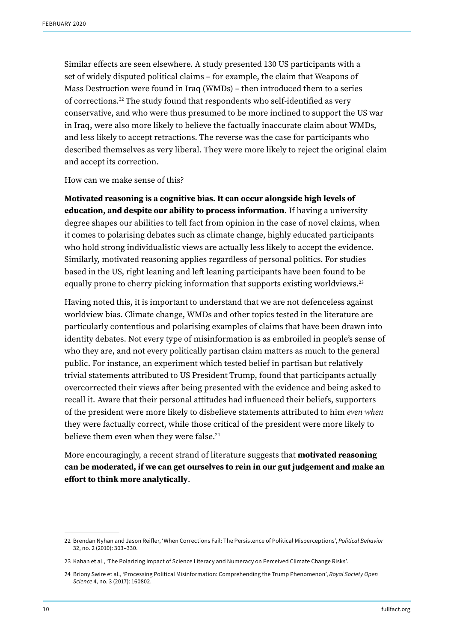Similar effects are seen elsewhere. A study presented 130 US participants with a set of widely disputed political claims – for example, the claim that Weapons of Mass Destruction were found in Iraq (WMDs) – then introduced them to a series of corrections.22 The study found that respondents who self-identified as very conservative, and who were thus presumed to be more inclined to support the US war in Iraq, were also more likely to believe the factually inaccurate claim about WMDs, and less likely to accept retractions. The reverse was the case for participants who described themselves as very liberal. They were more likely to reject the original claim and accept its correction.

How can we make sense of this?

Motivated reasoning is a cognitive bias. It can occur alongside high levels of education, and despite our ability to process information. If having a university degree shapes our abilities to tell fact from opinion in the case of novel claims, when it comes to polarising debates such as climate change, highly educated participants who hold strong individualistic views are actually less likely to accept the evidence. Similarly, motivated reasoning applies regardless of personal politics. For studies based in the US, right leaning and left leaning participants have been found to be equally prone to cherry picking information that supports existing worldviews.<sup>23</sup>

Having noted this, it is important to understand that we are not defenceless against worldview bias. Climate change, WMDs and other topics tested in the literature are particularly contentious and polarising examples of claims that have been drawn into identity debates. Not every type of misinformation is as embroiled in people's sense of who they are, and not every politically partisan claim matters as much to the general public. For instance, an experiment which tested belief in partisan but relatively trivial statements attributed to US President Trump, found that participants actually overcorrected their views after being presented with the evidence and being asked to recall it. Aware that their personal attitudes had influenced their beliefs, supporters of the president were more likely to disbelieve statements attributed to him *even when* they were factually correct, while those critical of the president were more likely to believe them even when they were false.<sup>24</sup>

More encouragingly, a recent strand of literature suggests that **motivated reasoning** can be moderated, if we can get ourselves to rein in our gut judgement and make an effort to think more analytically.

<sup>22</sup> Brendan Nyhan and Jason Reifler, 'When Corrections Fail: The Persistence of Political Misperceptions', *Political Behavior* 32, no. 2 (2010): 303–330.

<sup>23</sup> Kahan et al., 'The Polarizing Impact of Science Literacy and Numeracy on Perceived Climate Change Risks'.

<sup>24</sup> Briony Swire et al., 'Processing Political Misinformation: Comprehending the Trump Phenomenon', *Royal Society Open Science* 4, no. 3 (2017): 160802.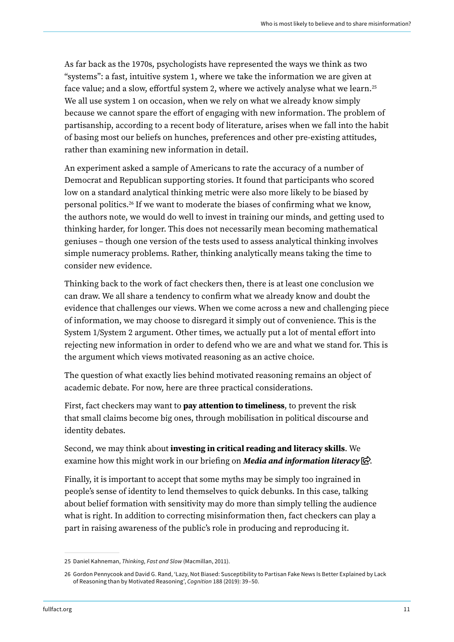As far back as the 1970s, psychologists have represented the ways we think as two "systems": a fast, intuitive system 1, where we take the information we are given at face value; and a slow, effortful system 2, where we actively analyse what we learn.<sup>25</sup> We all use system 1 on occasion, when we rely on what we already know simply because we cannot spare the effort of engaging with new information. The problem of partisanship, according to a recent body of literature, arises when we fall into the habit of basing most our beliefs on hunches, preferences and other pre-existing attitudes, rather than examining new information in detail.

An experiment asked a sample of Americans to rate the accuracy of a number of Democrat and Republican supporting stories. It found that participants who scored low on a standard analytical thinking metric were also more likely to be biased by personal politics.26 If we want to moderate the biases of confirming what we know, the authors note, we would do well to invest in training our minds, and getting used to thinking harder, for longer. This does not necessarily mean becoming mathematical geniuses – though one version of the tests used to assess analytical thinking involves simple numeracy problems. Rather, thinking analytically means taking the time to consider new evidence.

Thinking back to the work of fact checkers then, there is at least one conclusion we can draw. We all share a tendency to confirm what we already know and doubt the evidence that challenges our views. When we come across a new and challenging piece of information, we may choose to disregard it simply out of convenience. This is the System 1/System 2 argument. Other times, we actually put a lot of mental effort into rejecting new information in order to defend who we are and what we stand for. This is the argument which views motivated reasoning as an active choice.

The question of what exactly lies behind motivated reasoning remains an object of academic debate. For now, here are three practical considerations.

First, fact checkers may want to **pay attention to timeliness**, to prevent the risk that small claims become big ones, through mobilisation in political discourse and identity debates.

Second, we may think about investing in critical reading and literacy skills. We examine how this might work in our briefing on *[Media and information literacy](https://fullfact.org/media/uploads/media-information-literacy-lessons.pdf)*  $\mathbb{R}$ .

Finally, it is important to accept that some myths may be simply too ingrained in people's sense of identity to lend themselves to quick debunks. In this case, talking about belief formation with sensitivity may do more than simply telling the audience what is right. In addition to correcting misinformation then, fact checkers can play a part in raising awareness of the public's role in producing and reproducing it.

<sup>25</sup> Daniel Kahneman, *Thinking, Fast and Slow* (Macmillan, 2011).

<sup>26</sup> Gordon Pennycook and David G. Rand, 'Lazy, Not Biased: Susceptibility to Partisan Fake News Is Better Explained by Lack of Reasoning than by Motivated Reasoning', *Cognition* 188 (2019): 39–50.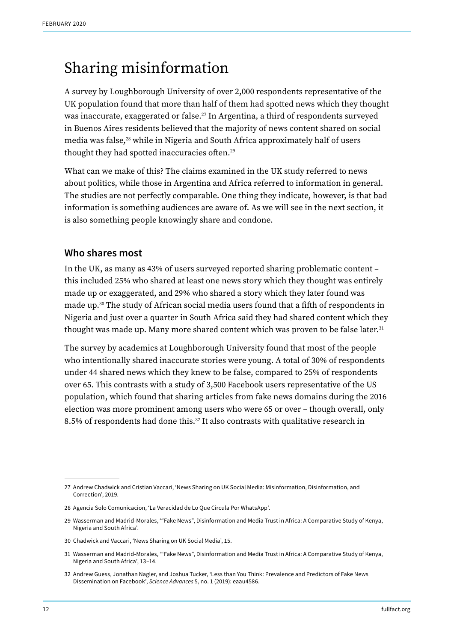### <span id="page-11-0"></span>Sharing misinformation

A survey by Loughborough University of over 2,000 respondents representative of the UK population found that more than half of them had spotted news which they thought was inaccurate, exaggerated or false.<sup>27</sup> In Argentina, a third of respondents surveyed in Buenos Aires residents believed that the majority of news content shared on social media was false,<sup>28</sup> while in Nigeria and South Africa approximately half of users thought they had spotted inaccuracies often.29

What can we make of this? The claims examined in the UK study referred to news about politics, while those in Argentina and Africa referred to information in general. The studies are not perfectly comparable. One thing they indicate, however, is that bad information is something audiences are aware of. As we will see in the next section, it is also something people knowingly share and condone.

#### Who shares most

In the UK, as many as 43% of users surveyed reported sharing problematic content – this included 25% who shared at least one news story which they thought was entirely made up or exaggerated, and 29% who shared a story which they later found was made up.30 The study of African social media users found that a fifth of respondents in Nigeria and just over a quarter in South Africa said they had shared content which they thought was made up. Many more shared content which was proven to be false later.<sup>31</sup>

The survey by academics at Loughborough University found that most of the people who intentionally shared inaccurate stories were young. A total of 30% of respondents under 44 shared news which they knew to be false, compared to 25% of respondents over 65. This contrasts with a study of 3,500 Facebook users representative of the US population, which found that sharing articles from fake news domains during the 2016 election was more prominent among users who were 65 or over – though overall, only 8.5% of respondents had done this.32 It also contrasts with qualitative research in

- 30 Chadwick and Vaccari, 'News Sharing on UK Social Media', 15.
- 31 Wasserman and Madrid-Morales, '"Fake News", Disinformation and Media Trust in Africa: A Comparative Study of Kenya, Nigeria and South Africa', 13–14.

<sup>27</sup> Andrew Chadwick and Cristian Vaccari, 'News Sharing on UK Social Media: Misinformation, Disinformation, and Correction', 2019.

<sup>28</sup> Agencia Solo Comunicacion, 'La Veracidad de Lo Que Circula Por WhatsApp'.

<sup>29</sup> Wasserman and Madrid-Morales, '"Fake News", Disinformation and Media Trust in Africa: A Comparative Study of Kenya, Nigeria and South Africa'.

<sup>32</sup> Andrew Guess, Jonathan Nagler, and Joshua Tucker, 'Less than You Think: Prevalence and Predictors of Fake News Dissemination on Facebook', *Science Advances* 5, no. 1 (2019): eaau4586.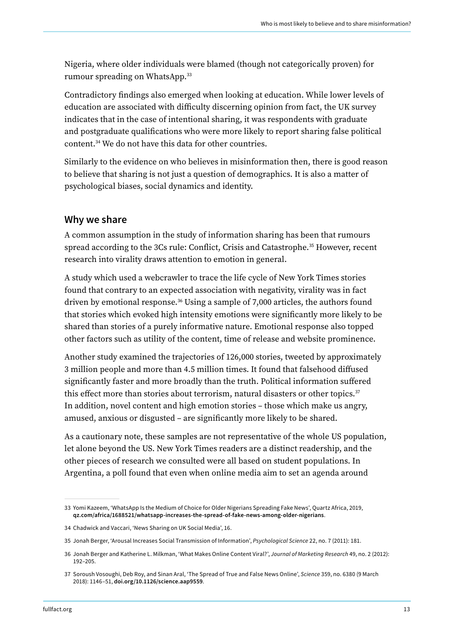<span id="page-12-0"></span>Nigeria, where older individuals were blamed (though not categorically proven) for rumour spreading on WhatsApp.33

Contradictory findings also emerged when looking at education. While lower levels of education are associated with difficulty discerning opinion from fact, the UK survey indicates that in the case of intentional sharing, it was respondents with graduate and postgraduate qualifications who were more likely to report sharing false political content.34 We do not have this data for other countries.

Similarly to the evidence on who believes in misinformation then, there is good reason to believe that sharing is not just a question of demographics. It is also a matter of psychological biases, social dynamics and identity.

#### Why we share

A common assumption in the study of information sharing has been that rumours spread according to the 3Cs rule: Conflict, Crisis and Catastrophe.<sup>35</sup> However, recent research into virality draws attention to emotion in general.

A study which used a webcrawler to trace the life cycle of New York Times stories found that contrary to an expected association with negativity, virality was in fact driven by emotional response.36 Using a sample of 7,000 articles, the authors found that stories which evoked high intensity emotions were significantly more likely to be shared than stories of a purely informative nature. Emotional response also topped other factors such as utility of the content, time of release and website prominence.

Another study examined the trajectories of 126,000 stories, tweeted by approximately 3 million people and more than 4.5 million times. It found that falsehood diffused significantly faster and more broadly than the truth. Political information suffered this effect more than stories about terrorism, natural disasters or other topics.<sup>37</sup> In addition, novel content and high emotion stories – those which make us angry, amused, anxious or disgusted – are significantly more likely to be shared.

As a cautionary note, these samples are not representative of the whole US population, let alone beyond the US. New York Times readers are a distinct readership, and the other pieces of research we consulted were all based on student populations. In Argentina, a poll found that even when online media aim to set an agenda around

<sup>33</sup> Yomi Kazeem, 'WhatsApp Is the Medium of Choice for Older Nigerians Spreading Fake News', Quartz Africa, 2019, [qz.com/africa/1688521/whatsapp-increases-the-spread-of-fake-news-among-older-nigerians.](https://qz.com/africa/1688521/whatsapp-increases-the-spread-of-fake-news-among-older-nigerians)

<sup>34</sup> Chadwick and Vaccari, 'News Sharing on UK Social Media', 16.

<sup>35</sup> Jonah Berger, 'Arousal Increases Social Transmission of Information', *Psychological Science* 22, no. 7 (2011): 181.

<sup>36</sup> Jonah Berger and Katherine L. Milkman, 'What Makes Online Content Viral?', *Journal of Marketing Research* 49, no. 2 (2012): 192–205.

<sup>37</sup> Soroush Vosoughi, Deb Roy, and Sinan Aral, 'The Spread of True and False News Online', *Science* 359, no. 6380 (9 March 2018): 1146–51, [doi.org/10.1126/science.aap9559.](https://doi.org/10.1126/science.aap9559)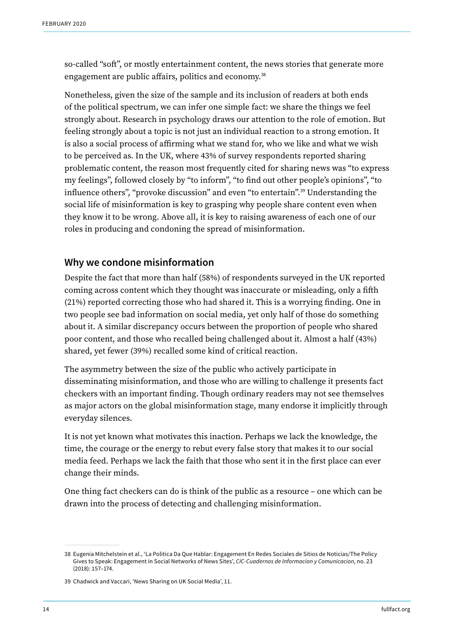<span id="page-13-0"></span>so-called "soft", or mostly entertainment content, the news stories that generate more engagement are public affairs, politics and economy.<sup>38</sup>

Nonetheless, given the size of the sample and its inclusion of readers at both ends of the political spectrum, we can infer one simple fact: we share the things we feel strongly about. Research in psychology draws our attention to the role of emotion. But feeling strongly about a topic is not just an individual reaction to a strong emotion. It is also a social process of affirming what we stand for, who we like and what we wish to be perceived as. In the UK, where 43% of survey respondents reported sharing problematic content, the reason most frequently cited for sharing news was "to express my feelings", followed closely by "to inform", "to find out other people's opinions", "to influence others", "provoke discussion" and even "to entertain".39 Understanding the social life of misinformation is key to grasping why people share content even when they know it to be wrong. Above all, it is key to raising awareness of each one of our roles in producing and condoning the spread of misinformation.

#### Why we condone misinformation

Despite the fact that more than half (58%) of respondents surveyed in the UK reported coming across content which they thought was inaccurate or misleading, only a fifth (21%) reported correcting those who had shared it. This is a worrying finding. One in two people see bad information on social media, yet only half of those do something about it. A similar discrepancy occurs between the proportion of people who shared poor content, and those who recalled being challenged about it. Almost a half (43%) shared, yet fewer (39%) recalled some kind of critical reaction.

The asymmetry between the size of the public who actively participate in disseminating misinformation, and those who are willing to challenge it presents fact checkers with an important finding. Though ordinary readers may not see themselves as major actors on the global misinformation stage, many endorse it implicitly through everyday silences.

It is not yet known what motivates this inaction. Perhaps we lack the knowledge, the time, the courage or the energy to rebut every false story that makes it to our social media feed. Perhaps we lack the faith that those who sent it in the first place can ever change their minds.

One thing fact checkers can do is think of the public as a resource – one which can be drawn into the process of detecting and challenging misinformation.

<sup>38</sup> Eugenia Mitchelstein et al., 'La Politica Da Que Hablar: Engagement En Redes Sociales de Sitios de Noticias/The Policy Gives to Speak: Engagement in Social Networks of News Sites', *CIC-Cuadernos de Informacion y Comunicacion*, no. 23 (2018): 157–174.

<sup>39</sup> Chadwick and Vaccari, 'News Sharing on UK Social Media', 11.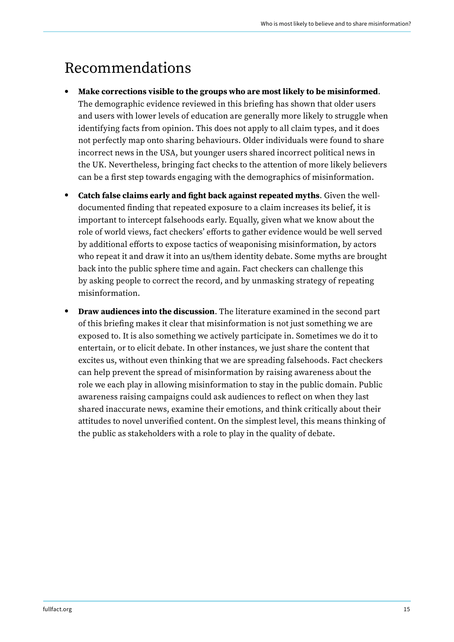### <span id="page-14-0"></span>Recommendations

- Make corrections visible to the groups who are most likely to be misinformed. The demographic evidence reviewed in this briefing has shown that older users and users with lower levels of education are generally more likely to struggle when identifying facts from opinion. This does not apply to all claim types, and it does not perfectly map onto sharing behaviours. Older individuals were found to share incorrect news in the USA, but younger users shared incorrect political news in the UK. Nevertheless, bringing fact checks to the attention of more likely believers can be a first step towards engaging with the demographics of misinformation.
- Catch false claims early and fight back against repeated myths. Given the welldocumented finding that repeated exposure to a claim increases its belief, it is important to intercept falsehoods early. Equally, given what we know about the role of world views, fact checkers' efforts to gather evidence would be well served by additional efforts to expose tactics of weaponising misinformation, by actors who repeat it and draw it into an us/them identity debate. Some myths are brought back into the public sphere time and again. Fact checkers can challenge this by asking people to correct the record, and by unmasking strategy of repeating misinformation.
- Draw audiences into the discussion. The literature examined in the second part of this briefing makes it clear that misinformation is not just something we are exposed to. It is also something we actively participate in. Sometimes we do it to entertain, or to elicit debate. In other instances, we just share the content that excites us, without even thinking that we are spreading falsehoods. Fact checkers can help prevent the spread of misinformation by raising awareness about the role we each play in allowing misinformation to stay in the public domain. Public awareness raising campaigns could ask audiences to reflect on when they last shared inaccurate news, examine their emotions, and think critically about their attitudes to novel unverified content. On the simplest level, this means thinking of the public as stakeholders with a role to play in the quality of debate.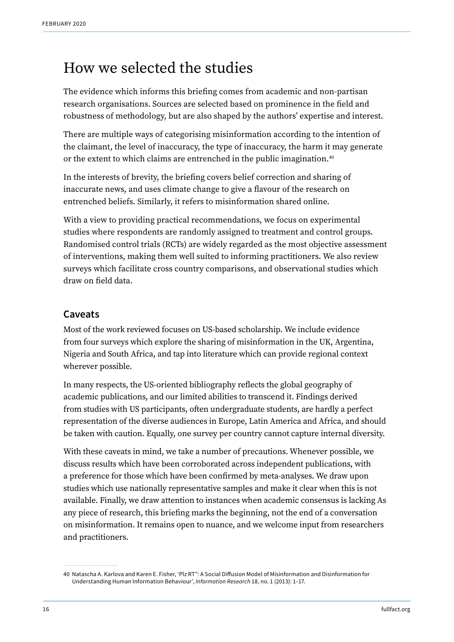### <span id="page-15-0"></span>How we selected the studies

The evidence which informs this briefing comes from academic and non-partisan research organisations. Sources are selected based on prominence in the field and robustness of methodology, but are also shaped by the authors' expertise and interest.

There are multiple ways of categorising misinformation according to the intention of the claimant, the level of inaccuracy, the type of inaccuracy, the harm it may generate or the extent to which claims are entrenched in the public imagination.<sup>40</sup>

In the interests of brevity, the briefing covers belief correction and sharing of inaccurate news, and uses climate change to give a flavour of the research on entrenched beliefs. Similarly, it refers to misinformation shared online.

With a view to providing practical recommendations, we focus on experimental studies where respondents are randomly assigned to treatment and control groups. Randomised control trials (RCTs) are widely regarded as the most objective assessment of interventions, making them well suited to informing practitioners. We also review surveys which facilitate cross country comparisons, and observational studies which draw on field data.

### Caveats

Most of the work reviewed focuses on US-based scholarship. We include evidence from four surveys which explore the sharing of misinformation in the UK, Argentina, Nigeria and South Africa, and tap into literature which can provide regional context wherever possible.

In many respects, the US-oriented bibliography reflects the global geography of academic publications, and our limited abilities to transcend it. Findings derived from studies with US participants, often undergraduate students, are hardly a perfect representation of the diverse audiences in Europe, Latin America and Africa, and should be taken with caution. Equally, one survey per country cannot capture internal diversity.

With these caveats in mind, we take a number of precautions. Whenever possible, we discuss results which have been corroborated across independent publications, with a preference for those which have been confirmed by meta-analyses. We draw upon studies which use nationally representative samples and make it clear when this is not available. Finally, we draw attention to instances when academic consensus is lacking As any piece of research, this briefing marks the beginning, not the end of a conversation on misinformation. It remains open to nuance, and we welcome input from researchers and practitioners.

<sup>40</sup> Natascha A. Karlova and Karen E. Fisher, 'Plz RT": A Social Diffusion Model of Misinformation and Disinformation for Understanding Human Information Behaviour', *Information Research* 18, no. 1 (2013): 1–17.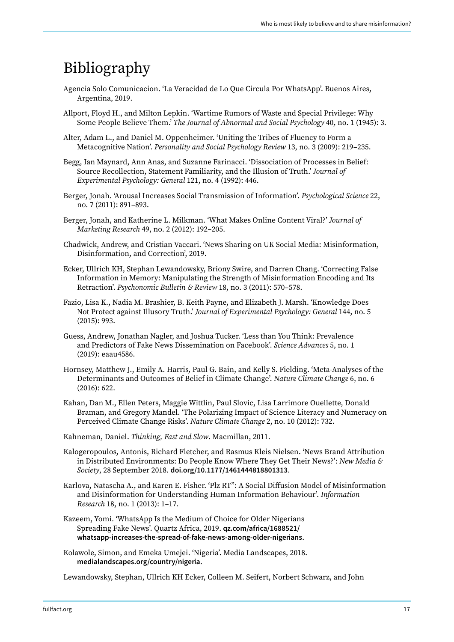### <span id="page-16-0"></span>Bibliography

- Agencia Solo Comunicacion. 'La Veracidad de Lo Que Circula Por WhatsApp'. Buenos Aires, Argentina, 2019.
- Allport, Floyd H., and Milton Lepkin. 'Wartime Rumors of Waste and Special Privilege: Why Some People Believe Them.' *The Journal of Abnormal and Social Psychology* 40, no. 1 (1945): 3.
- Alter, Adam L., and Daniel M. Oppenheimer. 'Uniting the Tribes of Fluency to Form a Metacognitive Nation'. *Personality and Social Psychology Review* 13, no. 3 (2009): 219–235.
- Begg, Ian Maynard, Ann Anas, and Suzanne Farinacci. 'Dissociation of Processes in Belief: Source Recollection, Statement Familiarity, and the Illusion of Truth.' *Journal of Experimental Psychology: General* 121, no. 4 (1992): 446.
- Berger, Jonah. 'Arousal Increases Social Transmission of Information'. *Psychological Science* 22, no. 7 (2011): 891–893.
- Berger, Jonah, and Katherine L. Milkman. 'What Makes Online Content Viral?' *Journal of Marketing Research* 49, no. 2 (2012): 192–205.
- Chadwick, Andrew, and Cristian Vaccari. 'News Sharing on UK Social Media: Misinformation, Disinformation, and Correction', 2019.
- Ecker, Ullrich KH, Stephan Lewandowsky, Briony Swire, and Darren Chang. 'Correcting False Information in Memory: Manipulating the Strength of Misinformation Encoding and Its Retraction'. *Psychonomic Bulletin & Review* 18, no. 3 (2011): 570–578.
- Fazio, Lisa K., Nadia M. Brashier, B. Keith Payne, and Elizabeth J. Marsh. 'Knowledge Does Not Protect against Illusory Truth.' *Journal of Experimental Psychology: General* 144, no. 5 (2015): 993.
- Guess, Andrew, Jonathan Nagler, and Joshua Tucker. 'Less than You Think: Prevalence and Predictors of Fake News Dissemination on Facebook'. *Science Advances* 5, no. 1 (2019): eaau4586.
- Hornsey, Matthew J., Emily A. Harris, Paul G. Bain, and Kelly S. Fielding. 'Meta-Analyses of the Determinants and Outcomes of Belief in Climate Change'. *Nature Climate Change* 6, no. 6 (2016): 622.
- Kahan, Dan M., Ellen Peters, Maggie Wittlin, Paul Slovic, Lisa Larrimore Ouellette, Donald Braman, and Gregory Mandel. 'The Polarizing Impact of Science Literacy and Numeracy on Perceived Climate Change Risks'. *Nature Climate Change* 2, no. 10 (2012): 732.
- Kahneman, Daniel. *Thinking, Fast and Slow*. Macmillan, 2011.
- Kalogeropoulos, Antonis, Richard Fletcher, and Rasmus Kleis Nielsen. 'News Brand Attribution in Distributed Environments: Do People Know Where They Get Their News?': *New Media & Society*, 28 September 2018. [doi.org/10.1177/1461444818801313](https://doi.org/10.1177/1461444818801313).
- Karlova, Natascha A., and Karen E. Fisher. 'Plz RT": A Social Diffusion Model of Misinformation and Disinformation for Understanding Human Information Behaviour'. *Information Research* 18, no. 1 (2013): 1–17.
- Kazeem, Yomi. 'WhatsApp Is the Medium of Choice for Older Nigerians Spreading Fake News'. Quartz Africa, 2019. [qz.com/africa/1688521/](https://qz.com/africa/1688521/whatsapp-increases-the-spread-of-fake-news-among-older-nigerians) [whatsapp-increases-the-spread-of-fake-news-among-older-nigerians](https://qz.com/africa/1688521/whatsapp-increases-the-spread-of-fake-news-among-older-nigerians).
- Kolawole, Simon, and Emeka Umejei. 'Nigeria'. Media Landscapes, 2018. [medialandscapes.org/country/nigeria](https://medialandscapes.org/country/nigeria).

Lewandowsky, Stephan, Ullrich KH Ecker, Colleen M. Seifert, Norbert Schwarz, and John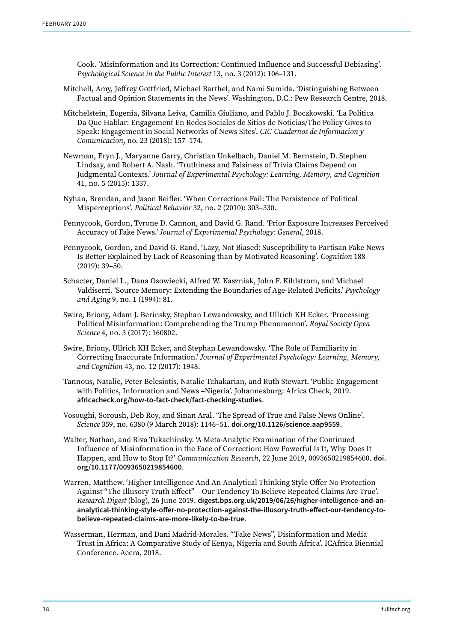Cook. 'Misinformation and Its Correction: Continued Influence and Successful Debiasing'. *Psychological Science in the Public Interest* 13, no. 3 (2012): 106–131.

- Mitchell, Amy, Jeffrey Gottfried, Michael Barthel, and Nami Sumida. 'Distinguishing Between Factual and Opinion Statements in the News'. Washington, D.C.: Pew Research Centre, 2018.
- Mitchelstein, Eugenia, Silvana Leiva, Camilia Giuliano, and Pablo J. Boczkowski. 'La Politica Da Que Hablar: Engagement En Redes Sociales de Sitios de Noticias/The Policy Gives to Speak: Engagement in Social Networks of News Sites'. *CIC-Cuadernos de Informacion y Comunicacion*, no. 23 (2018): 157–174.
- Newman, Eryn J., Maryanne Garry, Christian Unkelbach, Daniel M. Bernstein, D. Stephen Lindsay, and Robert A. Nash. 'Truthiness and Falsiness of Trivia Claims Depend on Judgmental Contexts.' *Journal of Experimental Psychology: Learning, Memory, and Cognition* 41, no. 5 (2015): 1337.
- Nyhan, Brendan, and Jason Reifler. 'When Corrections Fail: The Persistence of Political Misperceptions'. *Political Behavior* 32, no. 2 (2010): 303–330.
- Pennycook, Gordon, Tyrone D. Cannon, and David G. Rand. 'Prior Exposure Increases Perceived Accuracy of Fake News.' *Journal of Experimental Psychology: General*, 2018.
- Pennycook, Gordon, and David G. Rand. 'Lazy, Not Biased: Susceptibility to Partisan Fake News Is Better Explained by Lack of Reasoning than by Motivated Reasoning'. *Cognition* 188 (2019): 39–50.
- Schacter, Daniel L., Dana Osowiecki, Alfred W. Kaszniak, John F. Kihlstrom, and Michael Valdiserri. 'Source Memory: Extending the Boundaries of Age-Related Deficits.' *Psychology and Aging* 9, no. 1 (1994): 81.
- Swire, Briony, Adam J. Berinsky, Stephan Lewandowsky, and Ullrich KH Ecker. 'Processing Political Misinformation: Comprehending the Trump Phenomenon'. *Royal Society Open Science* 4, no. 3 (2017): 160802.
- Swire, Briony, Ullrich KH Ecker, and Stephan Lewandowsky. 'The Role of Familiarity in Correcting Inaccurate Information.' *Journal of Experimental Psychology: Learning, Memory, and Cognition* 43, no. 12 (2017): 1948.
- Tannous, Natalie, Peter Belesiotis, Natalie Tchakarian, and Ruth Stewart. 'Public Engagement with Politics, Information and News –Nigeria'. Johannesburg: Africa Check, 2019. [africacheck.org/how-to-fact-check/fact-checking-studies](https://africacheck.org/how-to-fact-check/fact-checking-studies).
- Vosoughi, Soroush, Deb Roy, and Sinan Aral. 'The Spread of True and False News Online'. *Science* 359, no. 6380 (9 March 2018): 1146–51. [doi.org/10.1126/science.aap9559](https://doi.org/10.1126/science.aap9559).
- Walter, Nathan, and Riva Tukachinsky. 'A Meta-Analytic Examination of the Continued Influence of Misinformation in the Face of Correction: How Powerful Is It, Why Does It Happen, and How to Stop It?' *Communication Research*, 22 June 2019, 0093650219854600. [doi.](https://doi.org/10.1177/0093650219854600) [org/10.1177/0093650219854600](https://doi.org/10.1177/0093650219854600).
- Warren, Matthew. 'Higher Intelligence And An Analytical Thinking Style Offer No Protection Against "The Illusory Truth Effect" – Our Tendency To Believe Repeated Claims Are True'. *Research Digest* (blog), 26 June 2019. [digest.bps.org.uk/2019/06/26/higher-intelligence-and-an](https://digest.bps.org.uk/2019/06/26/higher-intelligence-and-an-analytical-thinking-style-offer-no-protection-against-the-illusory-truth-effect-our-tendency-to-believe-repeated-claims-are-more-likely-to-be-true)[analytical-thinking-style-offer-no-protection-against-the-illusory-truth-effect-our-tendency-to](https://digest.bps.org.uk/2019/06/26/higher-intelligence-and-an-analytical-thinking-style-offer-no-protection-against-the-illusory-truth-effect-our-tendency-to-believe-repeated-claims-are-more-likely-to-be-true)[believe-repeated-claims-are-more-likely-to-be-true](https://digest.bps.org.uk/2019/06/26/higher-intelligence-and-an-analytical-thinking-style-offer-no-protection-against-the-illusory-truth-effect-our-tendency-to-believe-repeated-claims-are-more-likely-to-be-true).
- Wasserman, Herman, and Dani Madrid-Morales. '"Fake News", Disinformation and Media Trust in Africa: A Comparative Study of Kenya, Nigeria and South Africa'. ICAfrica Biennial Conference. Accra, 2018.